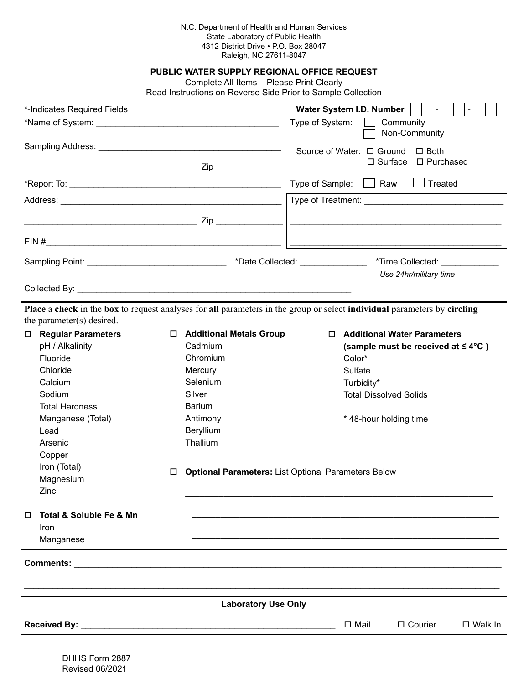## N.C. Department of Health and Human Services State Laboratory of Public Health 4312 District Drive • P.O. Box 28047 Raleigh, NC 27611-8047

**PUBLIC WATER SUPPLY Regional Office Request**

Complete All Items – Please Print Clearly

Read Instructions on Reverse Side Prior to Sample Collection

| *-Indicates Required Fields                                                                                                                                                                                                   | Water System I.D. Number<br>Type of System:<br>Community<br>Non-Community                                                                                                                                                                                                                                                                                                                                                                                                                                          |  |
|-------------------------------------------------------------------------------------------------------------------------------------------------------------------------------------------------------------------------------|--------------------------------------------------------------------------------------------------------------------------------------------------------------------------------------------------------------------------------------------------------------------------------------------------------------------------------------------------------------------------------------------------------------------------------------------------------------------------------------------------------------------|--|
|                                                                                                                                                                                                                               | Source of Water: □ Ground<br>$\Box$ Both<br>$\Box$ Surface $\Box$ Purchased                                                                                                                                                                                                                                                                                                                                                                                                                                        |  |
|                                                                                                                                                                                                                               | Type of Sample: $\Box$ Raw<br>$\Box$ Treated                                                                                                                                                                                                                                                                                                                                                                                                                                                                       |  |
|                                                                                                                                                                                                                               |                                                                                                                                                                                                                                                                                                                                                                                                                                                                                                                    |  |
|                                                                                                                                                                                                                               | <u> 1989 - Johann John Stone, market fan de Fryske kampen en oantal fan de Fryske kampen en oantal fan de Fryske</u>                                                                                                                                                                                                                                                                                                                                                                                               |  |
|                                                                                                                                                                                                                               |                                                                                                                                                                                                                                                                                                                                                                                                                                                                                                                    |  |
|                                                                                                                                                                                                                               | Sampling Point: ___________________________________*Date Collected: ____________<br>*Time Collected: ____________                                                                                                                                                                                                                                                                                                                                                                                                  |  |
|                                                                                                                                                                                                                               | Use 24hr/military time                                                                                                                                                                                                                                                                                                                                                                                                                                                                                             |  |
| the parameter(s) desired.<br><b>Regular Parameters</b><br>□  <br>pH / Alkalinity<br>Fluoride<br>Chloride<br>Calcium<br>Sodium<br><b>Total Hardness</b><br>Manganese (Total)<br>Lead<br>Arsenic<br>Copper<br>Iron (Total)<br>□ | Place a check in the box to request analyses for all parameters in the group or select individual parameters by circling<br>□ Additional Metals Group<br>□ Additional Water Parameters<br>Cadmium<br>(sample must be received at $\leq 4^{\circ}C$ )<br>Chromium<br>Color*<br>Mercury<br>Sulfate<br>Selenium<br>Turbidity*<br>Silver<br><b>Total Dissolved Solids</b><br><b>Barium</b><br>Antimony<br>*48-hour holding time<br>Beryllium<br>Thallium<br><b>Optional Parameters:</b> List Optional Parameters Below |  |
| Magnesium<br>Zinc<br>Total & Soluble Fe & Mn<br>$\Box$<br>Iron<br>Manganese                                                                                                                                                   |                                                                                                                                                                                                                                                                                                                                                                                                                                                                                                                    |  |
| <b>Comments: Comments: Comments: Comments:</b>                                                                                                                                                                                |                                                                                                                                                                                                                                                                                                                                                                                                                                                                                                                    |  |
| <b>Laboratory Use Only</b>                                                                                                                                                                                                    |                                                                                                                                                                                                                                                                                                                                                                                                                                                                                                                    |  |
|                                                                                                                                                                                                                               | $\Box$ Mail<br>$\Box$ Courier<br>$\Box$ Walk In                                                                                                                                                                                                                                                                                                                                                                                                                                                                    |  |